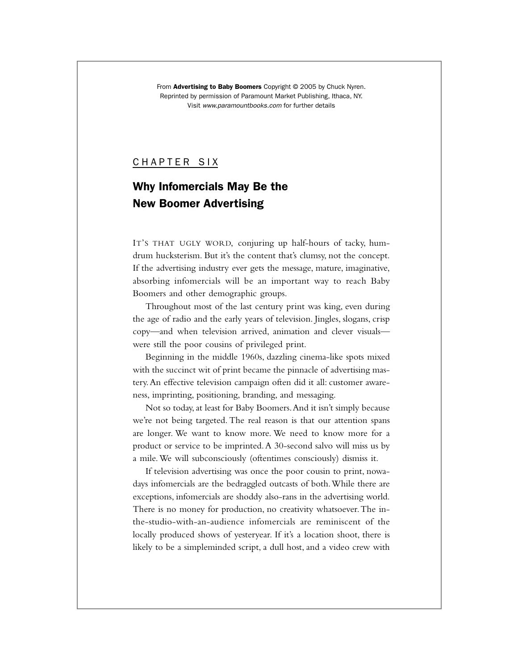From Advertising to Baby Boomers Copyright @ 2005 by Chuck Nyren. Reprinted by permission of Paramount Market Publishing, Ithaca, NY. Visit *www.paramountbooks.com* for further details

# CHAPTER SIX

# Why Infomercials May Be the New Boomer Advertising

IT'S THAT UGLY WORD, conjuring up half-hours of tacky, humdrum hucksterism. But it's the content that's clumsy, not the concept. If the advertising industry ever gets the message, mature, imaginative, absorbing infomercials will be an important way to reach Baby Boomers and other demographic groups.

Throughout most of the last century print was king, even during the age of radio and the early years of television. Jingles, slogans, crisp copy—and when television arrived, animation and clever visuals were still the poor cousins of privileged print.

Beginning in the middle 1960s, dazzling cinema-like spots mixed with the succinct wit of print became the pinnacle of advertising mastery.An effective television campaign often did it all: customer awareness, imprinting, positioning, branding, and messaging.

Not so today, at least for Baby Boomers.And it isn't simply because we're not being targeted. The real reason is that our attention spans are longer. We want to know more. We need to know more for a product or service to be imprinted.A 30-second salvo will miss us by a mile.We will subconsciously (oftentimes consciously) dismiss it.

If television advertising was once the poor cousin to print, nowadays infomercials are the bedraggled outcasts of both.While there are exceptions, infomercials are shoddy also-rans in the advertising world. There is no money for production, no creativity whatsoever.The inthe-studio-with-an-audience infomercials are reminiscent of the locally produced shows of yesteryear. If it's a location shoot, there is likely to be a simpleminded script, a dull host, and a video crew with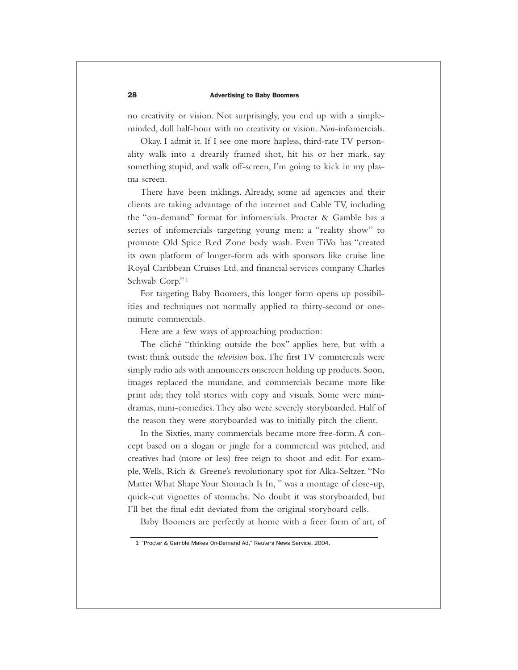no creativity or vision. Not surprisingly, you end up with a simpleminded, dull half-hour with no creativity or vision. *Non*-infomercials.

Okay. I admit it. If I see one more hapless, third-rate TV personality walk into a drearily framed shot, hit his or her mark, say something stupid, and walk off-screen, I'm going to kick in my plasma screen.

There have been inklings. Already, some ad agencies and their clients are taking advantage of the internet and Cable TV, including the "on-demand" format for infomercials. Procter & Gamble has a series of infomercials targeting young men: a "reality show" to promote Old Spice Red Zone body wash. Even TiVo has "created its own platform of longer-form ads with sponsors like cruise line Royal Caribbean Cruises Ltd. and financial services company Charles Schwab Corp." 1

For targeting Baby Boomers, this longer form opens up possibilities and techniques not normally applied to thirty-second or oneminute commercials.

Here are a few ways of approaching production:

The cliché "thinking outside the box" applies here, but with a twist: think outside the *television* box.The first TV commercials were simply radio ads with announcers onscreen holding up products. Soon, images replaced the mundane, and commercials became more like print ads; they told stories with copy and visuals. Some were minidramas, mini-comedies.They also were severely storyboarded. Half of the reason they were storyboarded was to initially pitch the client.

In the Sixties, many commercials became more free-form. A concept based on a slogan or jingle for a commercial was pitched, and creatives had (more or less) free reign to shoot and edit. For example, Wells, Rich & Greene's revolutionary spot for Alka-Seltzer, "No Matter What Shape Your Stomach Is In, " was a montage of close-up, quick-cut vignettes of stomachs. No doubt it was storyboarded, but I'll bet the final edit deviated from the original storyboard cells.

Baby Boomers are perfectly at home with a freer form of art, of

<sup>1 &</sup>quot;Procter & Gamble Makes On-Demand Ad," Reuters News Service, 2004.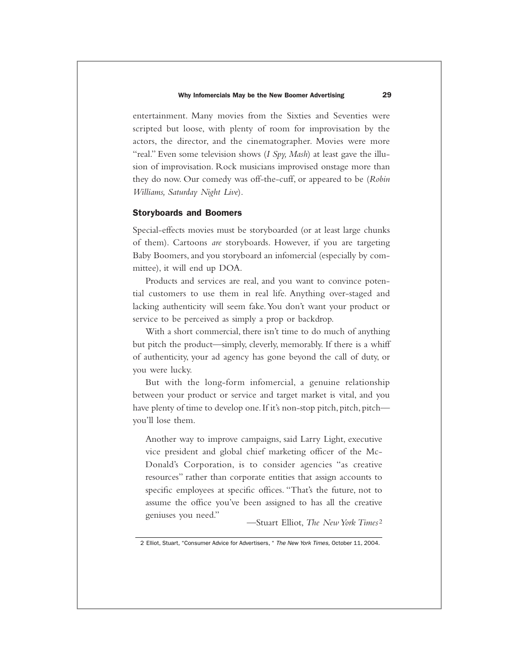#### Why Infomercials May be the New Boomer Advertising 29

entertainment. Many movies from the Sixties and Seventies were scripted but loose, with plenty of room for improvisation by the actors, the director, and the cinematographer. Movies were more "real." Even some television shows (*I Spy, Mash*) at least gave the illusion of improvisation. Rock musicians improvised onstage more than they do now. Our comedy was off-the-cuff, or appeared to be (*Robin Williams, Saturday Night Live*).

#### Storyboards and Boomers

Special-effects movies must be storyboarded (or at least large chunks of them). Cartoons *are* storyboards. However, if you are targeting Baby Boomers, and you storyboard an infomercial (especially by committee), it will end up DOA.

Products and services are real, and you want to convince potential customers to use them in real life. Anything over-staged and lacking authenticity will seem fake.You don't want your product or service to be perceived as simply a prop or backdrop.

With a short commercial, there isn't time to do much of anything but pitch the product—simply, cleverly, memorably. If there is a whiff of authenticity, your ad agency has gone beyond the call of duty, or you were lucky.

But with the long-form infomercial, a genuine relationship between your product or service and target market is vital, and you have plenty of time to develop one. If it's non-stop pitch, pitch, pitch you'll lose them.

Another way to improve campaigns, said Larry Light, executive vice president and global chief marketing officer of the Mc-Donald's Corporation, is to consider agencies "as creative resources" rather than corporate entities that assign accounts to specific employees at specific offices. "That's the future, not to assume the office you've been assigned to has all the creative geniuses you need." —Stuart Elliot, *The New York Times* <sup>2</sup>

<sup>2</sup> Elliot, Stuart, "Consumer Advice for Advertisers, " *The New York Times,* October 11, 2004.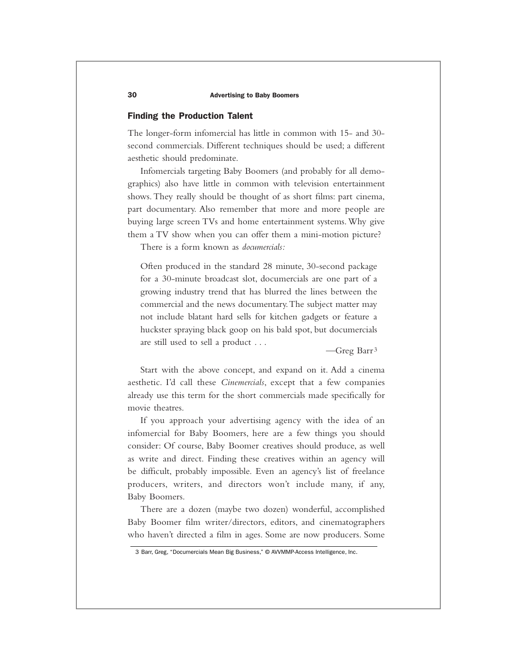### Finding the Production Talent

The longer-form infomercial has little in common with 15- and 30 second commercials. Different techniques should be used; a different aesthetic should predominate.

Infomercials targeting Baby Boomers (and probably for all demographics) also have little in common with television entertainment shows. They really should be thought of as short films: part cinema, part documentary. Also remember that more and more people are buying large screen TVs and home entertainment systems. Why give them a TV show when you can offer them a mini-motion picture?

There is a form known as *documercials:*

Often produced in the standard 28 minute, 30-second package for a 30-minute broadcast slot, documercials are one part of a growing industry trend that has blurred the lines between the commercial and the news documentary.The subject matter may not include blatant hard sells for kitchen gadgets or feature a huckster spraying black goop on his bald spot, but documercials are still used to sell a product . . .

—Greg Barr 3

Start with the above concept, and expand on it. Add a cinema aesthetic. I'd call these *Cinemercials*, except that a few companies already use this term for the short commercials made specifically for movie theatres.

If you approach your advertising agency with the idea of an infomercial for Baby Boomers, here are a few things you should consider: Of course, Baby Boomer creatives should produce, as well as write and direct. Finding these creatives within an agency will be difficult, probably impossible. Even an agency's list of freelance producers, writers, and directors won't include many, if any, Baby Boomers.

There are a dozen (maybe two dozen) wonderful, accomplished Baby Boomer film writer/directors, editors, and cinematographers who haven't directed a film in ages. Some are now producers. Some

<sup>3</sup> Barr, Greg, "Documercials Mean Big Business," © AVVMMP-Access Intelligence, Inc.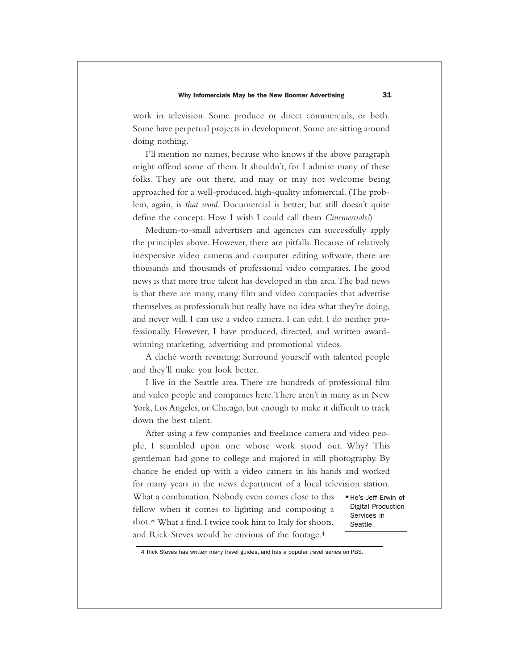#### Why Infomercials May be the New Boomer Advertising 31

work in television. Some produce or direct commercials, or both. Some have perpetual projects in development. Some are sitting around doing nothing.

I'll mention no names, because who knows if the above paragraph might offend some of them. It shouldn't, for I admire many of these folks. They are out there, and may or may not welcome being approached for a well-produced, high-quality infomercial. (The problem, again, is *that word*. Documercial is better, but still doesn't quite define the concept. How I wish I could call them *Cinemercials!*)

Medium-to-small advertisers and agencies can successfully apply the principles above. However, there are pitfalls. Because of relatively inexpensive video cameras and computer editing software, there are thousands and thousands of professional video companies. The good news is that more true talent has developed in this area.The bad news is that there are many, many film and video companies that advertise themselves as professionals but really have no idea what they're doing, and never will. I can use a video camera. I can edit. I do neither professionally. However, I have produced, directed, and written awardwinning marketing, advertising and promotional videos.

A cliché worth revisiting: Surround yourself with talented people and they'll make you look better.

I live in the Seattle area. There are hundreds of professional film and video people and companies here.There aren't as many as in New York, Los Angeles, or Chicago, but enough to make it difficult to track down the best talent.

After using a few companies and freelance camera and video people, I stumbled upon one whose work stood out. Why? This gentleman had gone to college and majored in still photography. By chance he ended up with a video camera in his hands and worked for many years in the news department of a local television station. What a combination. Nobody even comes close to this

fellow when it comes to lighting and composing a shot.\* What a find.I twice took him to Italy for shoots, and Rick Steves would be envious of the footage.4

\*He's Jeff Erwin of Digital Production Services in Seattle.

4 Rick Steves has written many travel guides, and has a popular travel series on PBS.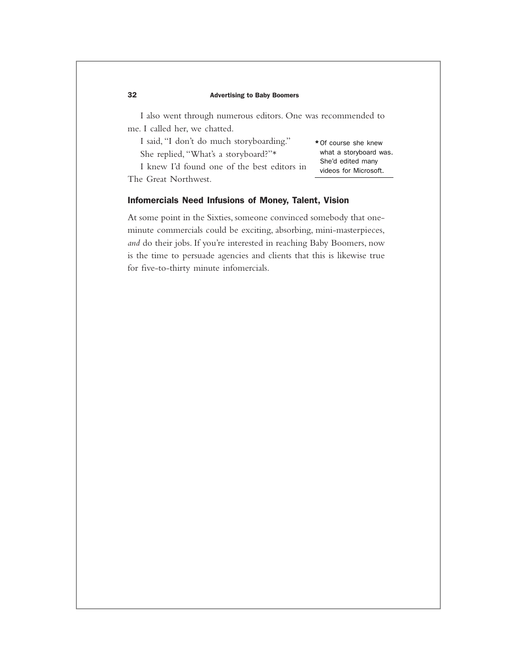I also went through numerous editors. One was recommended to me. I called her, we chatted.

I said, "I don't do much storyboarding."

I knew I'd found one of the best editors in

She replied, "What's a storyboard?"\*

\*Of course she knew what a storyboard was. She'd edited many videos for Microsoft.

The Great Northwest.

## Infomercials Need Infusions of Money, Talent, Vision

At some point in the Sixties, someone convinced somebody that oneminute commercials could be exciting, absorbing, mini-masterpieces, and do their jobs. If you're interested in reaching Baby Boomers, now is the time to persuade agencies and clients that this is likewise true for five-to-thirty minute infomercials.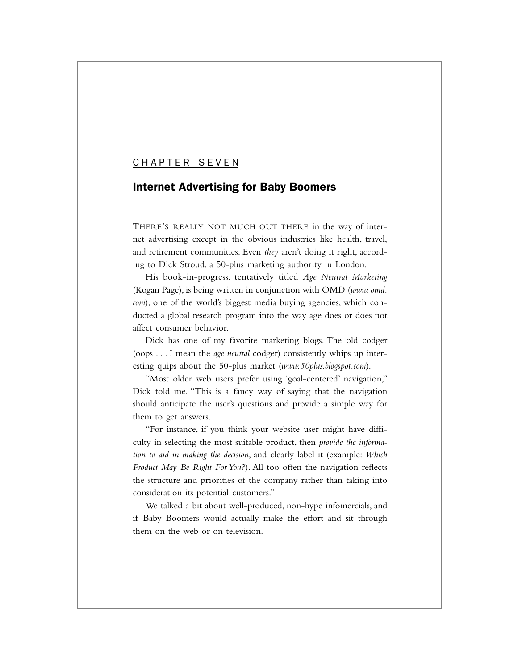# CHAPTER SEVEN

# Internet Advertising for Baby Boomers

THERE'S REALLY NOT MUCH OUT THERE in the way of internet advertising except in the obvious industries like health, travel, and retirement communities. Even *they* aren't doing it right, according to Dick Stroud, a 50-plus marketing authority in London.

His book-in-progress, tentatively titled *Age Neutral Marketing* (Kogan Page), is being written in conjunction with OMD (*www. omd. com*), one of the world's biggest media buying agencies, which conducted a global research program into the way age does or does not affect consumer behavior.

Dick has one of my favorite marketing blogs. The old codger (oops . . . I mean the *age neutral* codger) consistently whips up interesting quips about the 50-plus market (*www.50plus.blogspot.com*).

"Most older web users prefer using 'goal-centered' navigation," Dick told me. "This is a fancy way of saying that the navigation should anticipate the user's questions and provide a simple way for them to get answers.

"For instance, if you think your website user might have difficulty in selecting the most suitable product, then *provide the information to aid in making the decision*, and clearly label it (example: *Which Product May Be Right For You?*). All too often the navigation reflects the structure and priorities of the company rather than taking into consideration its potential customers."

We talked a bit about well-produced, non-hype infomercials, and if Baby Boomers would actually make the effort and sit through them on the web or on television.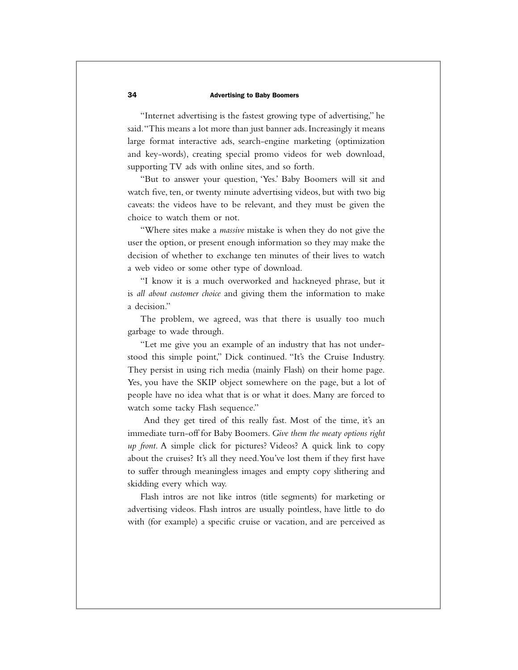"Internet advertising is the fastest growing type of advertising," he said."This means a lot more than just banner ads. Increasingly it means large format interactive ads, search-engine marketing (optimization and key-words), creating special promo videos for web download, supporting TV ads with online sites, and so forth.

"But to answer your question, 'Yes.' Baby Boomers will sit and watch five, ten, or twenty minute advertising videos, but with two big caveats: the videos have to be relevant, and they must be given the choice to watch them or not.

"Where sites make a *massive* mistake is when they do not give the user the option, or present enough information so they may make the decision of whether to exchange ten minutes of their lives to watch a web video or some other type of download.

"I know it is a much overworked and hackneyed phrase, but it is *all about customer choice* and giving them the information to make a decision."

The problem, we agreed, was that there is usually too much garbage to wade through.

"Let me give you an example of an industry that has not understood this simple point," Dick continued. "It's the Cruise Industry. They persist in using rich media (mainly Flash) on their home page. Yes, you have the SKIP object somewhere on the page, but a lot of people have no idea what that is or what it does. Many are forced to watch some tacky Flash sequence."

And they get tired of this really fast. Most of the time, it's an immediate turn-off for Baby Boomers. *Give them the meaty options right up front*. A simple click for pictures? Videos? A quick link to copy about the cruises? It's all they need.You've lost them if they first have to suffer through meaningless images and empty copy slithering and skidding every which way.

Flash intros are not like intros (title segments) for marketing or advertising videos. Flash intros are usually pointless, have little to do with (for example) a specific cruise or vacation, and are perceived as